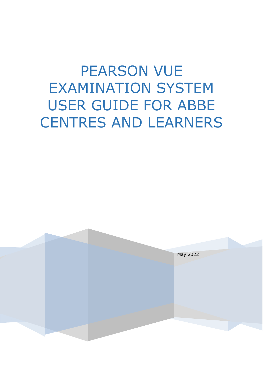# <span id="page-0-0"></span>PEARSON VUE EXAMINATION SYSTEM USER GUIDE FOR ABBE CENTRES AND LEARNERS

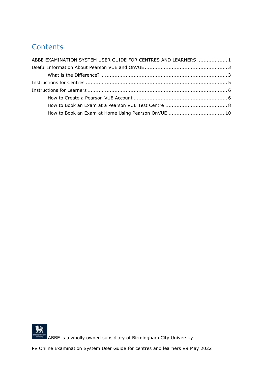# **Contents**

| ABBE EXAMINATION SYSTEM USER GUIDE FOR CENTRES AND LEARNERS  1 |  |
|----------------------------------------------------------------|--|
|                                                                |  |
|                                                                |  |
|                                                                |  |
|                                                                |  |
|                                                                |  |
|                                                                |  |
|                                                                |  |

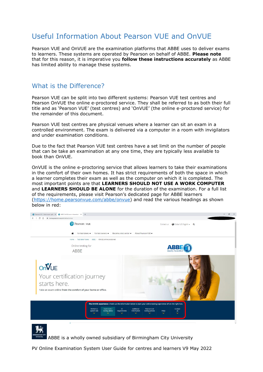## <span id="page-2-0"></span>Useful Information About Pearson VUE and OnVUE

Pearson VUE and OnVUE are the examination platforms that ABBE uses to deliver exams to learners. These systems are operated by Pearson on behalf of ABBE. **Please note** that for this reason, it is imperative you **follow these instructions accurately** as ABBE has limited ability to manage these systems.

#### <span id="page-2-1"></span>What is the Difference?

Pearson VUE can be split into two different systems: Pearson VUE test centres and Pearson OnVUE the online e-proctored service. They shall be referred to as both their full title and as 'Pearson VUE' (test centres) and 'OnVUE' (the online e-proctored service) for the remainder of this document.

Pearson VUE test centres are physical venues where a learner can sit an exam in a controlled environment. The exam is delivered via a computer in a room with invigilators and under examination conditions.

Due to the fact that Pearson VUE test centres have a set limit on the number of people that can be take an examination at any one time, they are typically less available to book than OnVUE.

OnVUE is the online e-proctoring service that allows learners to take their examinations in the comfort of their own homes. It has strict requirements of both the space in which a learner completes their exam as well as the computer on which it is completed. The most important points are that **LEARNERS SHOULD NOT USE A WORK COMPUTER** and **LEARNERS SHOULD BE ALONE** for the duration of the examination. For a full list of the requirements, please visit Pearson's dedicated page for ABBE learners [\(https://home.pearsonvue.com/abbe/onvue\)](https://home.pearsonvue.com/abbe/onvue) and read the various headings as shown below in red:





ABBE is a wholly owned subsidiary of Birmingham City University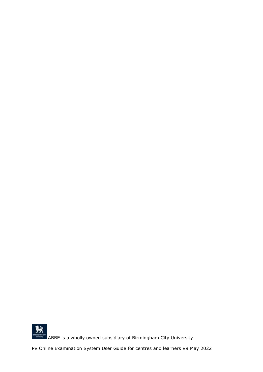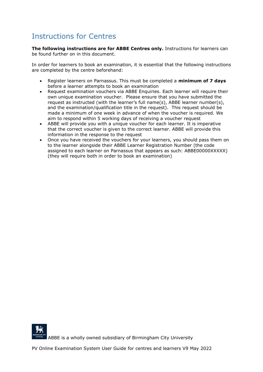# <span id="page-4-0"></span>Instructions for Centres

**The following instructions are for ABBE Centres only.** Instructions for learners can be found further on in this document.

In order for learners to book an examination, it is essential that the following instructions are completed by the centre beforehand:

- Register learners on Parnassus. This must be completed a **minimum of 7 days** before a learner attempts to book an examination
- Request examination vouchers via ABBE Enquiries. Each learner will require their own unique examination voucher. Please ensure that you have submitted the request as instructed (with the learner's full name(s), ABBE learner number(s), and the examination/qualification title in the request). This request should be made a minimum of one week in advance of when the voucher is required. We aim to respond within 5 working days of receiving a voucher request
- ABBE will provide you with a unique voucher for each learner. It is imperative that the correct voucher is given to the correct learner. ABBE will provide this information in the response to the request
- Once you have received the vouchers for your learners, you should pass them on to the learner alongside their ABBE Learner Registration Number (the code assigned to each learner on Parnassus that appears as such: ABBE00000XXXXX) (they will require both in order to book an examination)

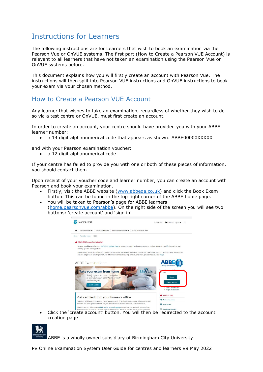# <span id="page-5-0"></span>Instructions for Learners

The following instructions are for Learners that wish to book an examination via the Pearson Vue or OnVUE systems. The first part (How to Create a Pearson VUE Account) is relevant to all learners that have not taken an examination using the Pearson Vue or OnVUE systems before.

This document explains how you will firstly create an account with Pearson Vue. The instructions will then split into Pearson VUE instructions and OnVUE instructions to book your exam via your chosen method.

#### <span id="page-5-1"></span>How to Create a Pearson VUE Account

Any learner that wishes to take an examination, regardless of whether they wish to do so via a test centre or OnVUE, must first create an account.

In order to create an account, your centre should have provided you with your ABBE learner number:

• a 14 digit alphanumerical code that appears as shown: ABBE00000XXXXX

and with your Pearson examination voucher:

• a 12 digit alphanumerical code

If your centre has failed to provide you with one or both of these pieces of information, you should contact them.

Upon receipt of your voucher code and learner number, you can create an account with Pearson and book your examination.

- Firstly, visit the ABBE website (www.abbega.co.uk) and click the Book Exam button. This can be found in the top right corner of the ABBE home page.
- You will be taken to Pearson's page for ABBE learners [\(home.pearsonvue.com/abbe\)](http://home.pearsonvue.com/abbe). On the right side of the screen you will see two buttons: 'create account' and 'sign in'



• Click the 'create account' button. You will then be redirected to the account creation page

ABBE is a wholly owned subsidiary of Birmingham City University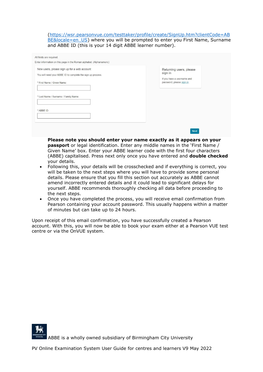#### [\(https://wsr.pearsonvue.com/testtaker/profile/create/SignUp.htm?clientCode=AB](https://wsr.pearsonvue.com/testtaker/profile/create/SignUp.htm?clientCode=ABBE&locale=en_US)

[BE&locale=en\\_US\)](https://wsr.pearsonvue.com/testtaker/profile/create/SignUp.htm?clientCode=ABBE&locale=en_US) where you will be prompted to enter you First Name, Surname and ABBE ID (this is your 14 digit ABBE learner number).

| New users, please sign up for a web account<br>You will need your ABBE ID to complete the sign up process. | Returning users, please<br>sign in                      |
|------------------------------------------------------------------------------------------------------------|---------------------------------------------------------|
| * First Name / Given Name:                                                                                 | If you have a username and<br>password, please sign in. |
| * Last Name / Surname / Family Name:                                                                       |                                                         |
| * ABBE ID:                                                                                                 |                                                         |
|                                                                                                            | Next                                                    |

**Please note you should enter your name exactly as it appears on your passport** or legal identification. Enter any middle names in the 'First Name / Given Name' box. Enter your ABBE learner code with the first four characters (ABBE) capitalised. Press next only once you have entered and **double checked** your details.

- Following this, your details will be crosschecked and if everything is correct, you will be taken to the next steps where you will have to provide some personal details. Please ensure that you fill this section out accurately as ABBE cannot amend incorrectly entered details and it could lead to significant delays for yourself. ABBE recommends thoroughly checking all data before proceeding to the next steps.
- Once you have completed the process, you will receive email confirmation from Pearson containing your account password. This usually happens within a matter of minutes but can take up to 24 hours.

Upon receipt of this email confirmation, you have successfully created a Pearson account. With this, you will now be able to book your exam either at a Pearson VUE test centre or via the OnVUE system.

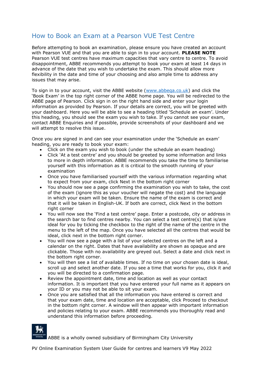#### <span id="page-7-0"></span>How to Book an Exam at a Pearson VUE Test Centre

Before attempting to book an examination, please ensure you have created an account with Pearson VUE and that you are able to sign in to your account. **PLEASE NOTE** Pearson VUE test centres have maximum capacities that vary centre to centre. To avoid disappointment, ABBE recommends you attempt to book your exam at least 14 days in advance of the date that you wish to undertake the exam. This should allow more flexibility in the date and time of your choosing and also ample time to address any issues that may arise.

To sign in to your account, visit the ABBE website [\(www.abbeqa.co.uk\)](http://www.abbeqa.co.uk/) and click the 'Book Exam' in the top right corner of the ABBE home page. You will be redirected to the ABBE page of Pearson. Click sign in on the right hand side and enter your login information as provided by Pearson. If your details are correct, you will be greeted with your dashboard. Here you will be able to see a heading titled 'Schedule an exam'. Under this heading, you should see the exam you wish to take. If you cannot see your exam, contact ABBE Enquiries and if possible, provide screenshots of your dashboard and we will attempt to resolve this issue.

Once you are signed in and can see your examination under the 'Schedule an exam' heading, you are ready to book your exam:

- Click on the exam you wish to book (under the schedule an exam heading)
- Click 'At a test centre' and you should be greeted by some information and links to more in depth information. ABBE recommends you take the time to familiarise yourself with this information as it is critical to the smooth running of your examination
- Once you have familiarised yourself with the various information regarding what to expect from your exam, click Next in the bottom right corner
- You should now see a page confirming the examination you wish to take, the cost of the exam (ignore this as your voucher will negate the cost) and the language in which your exam will be taken. Ensure the name of the exam is correct and that it will be taken in English-UK. If both are correct, click Next in the bottom right corner
- You will now see the 'Find a test centre' page. Enter a postcode, city or address in the search bar to find centres nearby. You can select a test centre(s) that is/are ideal for you by ticking the checkbox to the right of the name of the centre in the menu to the left of the map. Once you have selected all the centres that would be ideal, click next in the bottom right corner.
- You will now see a page with a list of your selected centres on the left and a calendar on the right. Dates that have availability are shown as opaque and are clickable. Those with no availability are greyed out. Select a date and click next in the bottom right corner.
- You will then see a list of available times. If no time on your chosen date is ideal, scroll up and select another date. If you see a time that works for you, click it and you will be directed to a confirmation page.
- Review the appointment date, time and location as well as your contact information. It is important that you have entered your full name as it appears on your ID or you may not be able to sit your exam.
- Once you are satisfied that all the information you have entered is correct and that your exam date, time and location are acceptable, click Proceed to checkout in the bottom right corner. A window will then appear with important information and policies relating to your exam. ABBE recommends you thoroughly read and understand this information before proceeding.

ABBE is a wholly owned subsidiary of Birmingham City University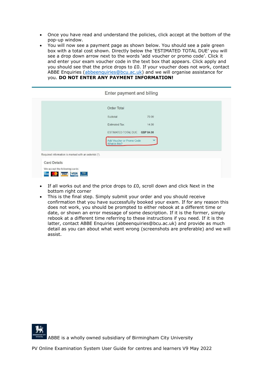- Once you have read and understand the policies, click accept at the bottom of the pop-up window.
- You will now see a payment page as shown below. You should see a pale green box with a total cost shown. Directly below the 'ESTIMATED TOTAL DUE' you will see a drop down arrow next to the words 'add voucher or promo code'. Click it and enter your exam voucher code in the text box that appears. Click apply and you should see that the price drops to £0. If your voucher does not work, contact ABBE Enquiries [\(abbeenquiries@bcu.ac.uk\)](mailto:abbeenquiries@bcu.ac.uk) and we will organise assistance for you. **DO NOT ENTER ANY PAYMENT INFORMATION!**

|                                                      | <b>Order Total</b>                         |       |  |
|------------------------------------------------------|--------------------------------------------|-------|--|
|                                                      |                                            |       |  |
|                                                      | Subtotal:                                  | 70.00 |  |
|                                                      | Estimated Tax:                             | 14.00 |  |
|                                                      | ESTIMATED TOTAL DUE: GBP 84.00             |       |  |
|                                                      | Add Voucher or Promo Code<br>What is this? |       |  |
| Required information is marked with an asterisk (*). |                                            |       |  |
| <b>Card Details</b>                                  |                                            |       |  |
| We accept the following cards:                       |                                            |       |  |
| VISA<br>Electron<br><b>VISA</b><br><b>VISA</b>       |                                            |       |  |

- If all works out and the price drops to £0, scroll down and click Next in the bottom right corner
- This is the final step. Simply submit your order and you should receive confirmation that you have successfully booked your exam. If for any reason this does not work, you should be prompted to either rebook at a different time or date, or shown an error message of some description. If it is the former, simply rebook at a different time referring to these instructions if you need. If it is the latter, contact ABBE Enquiries (abbeenquiries@bcu.ac.uk) and provide as much detail as you can about what went wrong (screenshots are preferable) and we will assist.

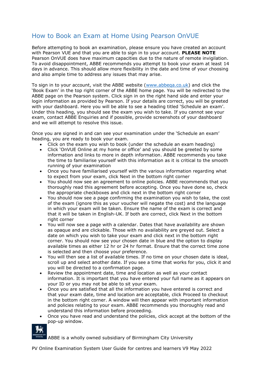### <span id="page-9-0"></span>How to Book an Exam at Home Using Pearson OnVUE

Before attempting to book an examination, please ensure you have created an account with Pearson VUE and that you are able to sign in to your account. **PLEASE NOTE** Pearson OnVUE does have maximum capacities due to the nature of remote invigilation. To avoid disappointment, ABBE recommends you attempt to book your exam at least 14 days in advance. This should allow more flexibility in the date and time of your choosing and also ample time to address any issues that may arise.

To sign in to your account, visit the ABBE website [\(www.abbeqa.co.uk\)](http://www.abbeqa.co.uk/) and click the 'Book Exam' in the top right corner of the ABBE home page. You will be redirected to the ABBE page on the Pearson system. Click sign in on the right hand side and enter your login information as provided by Pearson. If your details are correct, you will be greeted with your dashboard. Here you will be able to see a heading titled 'Schedule an exam'. Under this heading, you should see the exam you wish to take. If you cannot see your exam, contact ABBE Enquiries and if possible, provide screenshots of your dashboard and we will attempt to resolve this issue.

Once you are signed in and can see your examination under the 'Schedule an exam' heading, you are ready to book your exam.

- Click on the exam you wish to book (under the schedule an exam heading)
- Click 'OnVUE Online at my home or office' and you should be greeted by some information and links to more in depth information. ABBE recommends you take the time to familiarise yourself with this information as it is critical to the smooth running of your examination
- Once you have familiarised yourself with the various information regarding what to expect from your exam, click Next in the bottom right corner
- You should now see an agreement to online policies. ABBE recommends that you thoroughly read this agreement before accepting. Once you have done so, check the appropriate checkboxes and click next in the bottom right corner
- You should now see a page confirming the examination you wish to take, the cost of the exam (ignore this as your voucher will negate the cost) and the language in which your exam will be taken. Ensure the name of the exam is correct and that it will be taken in English-UK. If both are correct, click Next in the bottom right corner
- You will now see a page with a calendar. Dates that have availability are shown as opaque and are clickable. Those with no availability are greyed out. Select a date on which you wish to take your exam and click next in the bottom right corner. You should now see your chosen date in blue and the option to display available times as either 12 hr or 24 hr format. Ensure that the correct time zone is selected and then choose your preference.
- You will then see a list of available times. If no time on your chosen date is ideal, scroll up and select another date. If you see a time that works for you, click it and you will be directed to a confirmation page.
- Review the appointment date, time and location as well as your contact information. It is important that you have entered your full name as it appears on your ID or you may not be able to sit your exam.
- Once you are satisfied that all the information you have entered is correct and that your exam date, time and location are acceptable, click Proceed to checkout in the bottom right corner. A window will then appear with important information and policies relating to your exam. ABBE recommends you thoroughly read and understand this information before proceeding.
- Once you have read and understand the policies, click accept at the bottom of the pop-up window.



ABBE is a wholly owned subsidiary of Birmingham City University